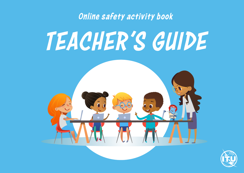## *Online safety activity book*

# *TEACHER'S GUIDE*



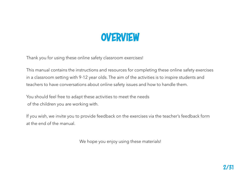## **OVERVIEW**

Thank you for using these online safety classroom exercises!

This manual contains the instructions and resources for completing these online safety exercises in a classroom setting with 9-12 year olds. The aim of the activities is to inspire students and teachers to have conversations about online safety issues and how to handle them.

You should feel free to adapt these activities to meet the needs of the children you are working with.

If you wish, we invite you to provide feedback on the exercises via the teacher's feedback form at the end of the manual.

We hope you enjoy using these materials!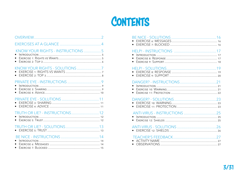## CONTENTS

| KNOW YOUR RIGHTS - INSTRUCTIONS  5<br>$\bullet$ |
|-------------------------------------------------|
| $\bullet$                                       |
| $\bullet$<br>$\bullet$                          |
|                                                 |
|                                                 |
|                                                 |
| $\bullet$<br>$\bullet$                          |

| $\bullet$<br>$\bullet$              |
|-------------------------------------|
|                                     |
| $\bullet$<br>$\bullet$<br>$\bullet$ |
| $\bullet$                           |
| $\bullet$<br>$\bullet$              |
|                                     |
|                                     |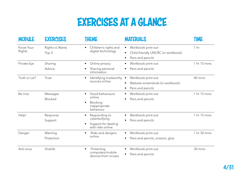## exercises at a glance

| <b>MODULE</b>       | <b>EXERCISES</b>         | <b>THEME</b>                                                                     | <b>MATERIALS</b>                                                                                      | TIME            |
|---------------------|--------------------------|----------------------------------------------------------------------------------|-------------------------------------------------------------------------------------------------------|-----------------|
| Know Your<br>Rights | Rights vs Wants<br>Top 3 | Children's rights and<br>digital technology                                      | Workbook print-out<br>$\bullet$<br>Child-friendly UNCRC (in workbook)<br>Pens and pencils             | 1 <sub>hr</sub> |
| Private Eye         | Sharing<br>Advice        | Online privacy<br>$\bullet$<br>Sharing personal<br>information                   | Workbook print-out<br>Pens and pencils<br>$\bullet$                                                   | 1 hr 15 mins    |
| Truth or Lie?       | Trust                    | Identifying trustworthy<br>sources online                                        | Workbook print-out<br>$\bullet$<br>Website screenshots (in workbook)<br>Pens and pencils<br>$\bullet$ | 40 mins         |
| Be nice             | Messages<br>Blocked      | Good behaviours<br>$\bullet$<br>online<br>Blocking<br>inappropriate<br>behaviour | Workbook print-out<br>$\bullet$<br>Pens and pencils<br>$\bullet$                                      | 1 hr 15 mins    |
| Help!               | Response<br>Support      | Responding to<br>cyberbullying<br>Support for dealing<br>with risks online       | Workbook print-out<br>$\bullet$<br>Pens and pencils<br>$\bullet$                                      | 1 hr 15 mins    |
| Danger              | Warning<br>Protection    | Risks and dangers<br>online                                                      | Workbook print-out<br>$\bullet$<br>Pens and pencils, scissors, glue                                   | 1 hr 30 mins    |
| Anti-virus          | Shields                  | Protecting<br>$\bullet$<br>computers/mobile<br>devices from viruses              | Workbook print-out<br>Pens and pencils<br>$\bullet$                                                   | 30 mins         |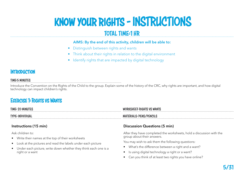## know your rights - INSTRUCTIONS

## TOTAL TIME:1 HR

#### AIMS: By the end of this activity, children will be able to:

- Distinguish between rights and wants
- Think about their rights in relation to the digital environment
- Identify rights that are impacted by digital technology

### **INTRODUCTION**

#### TIME:5 MINUTES

Introduce the Convention on the Rights of the Child to the group. Explain some of the history of the CRC, why rights are important, and how digital technology can impact children's rights.

## Exercise 1: Rights vs Wants

| TIME: 20 MINUTES             | WORKSHEET: RIGHTS VS WANTS     |
|------------------------------|--------------------------------|
|                              |                                |
| TYPE: INDIVIDUAL             | <b>MATERIALS: PENS/PENCILS</b> |
|                              |                                |
| <b>Instructions (15 min)</b> | Discussion Questions (5 min)   |

Ask children to:

- Write their names at the top of their worksheets
- Look at the pictures and read the labels under each picture
- Under each picture, write down whether they think each one is a right or a want

#### Discussion Questions (5 min)

After they have completed the worksheets, hold a discussion with the group about their answers.

- What's the difference between a right and a want?
- Is using digital technology a right or a want?
- Can you think of at least two rights you have online?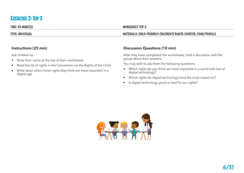## Exercise 2: Top 3

TIME: 35 MINUTES

TYPE: INDIVIDUAL

#### Instructions (25 min)

Ask children to:

- Write their name at the top of their worksheets
- Read the list of rights in the Convention on the Rights of the Child
- Write down which three rights they think are most important in a digital age

#### WORKSHEET: TOP 3

#### MATERIALS: CHILD-FRIENDLY CHILDREN'S RIGHTS CHARTER, PENS/PENCILS

#### Discussion Questions (10 min)

After they have completed the worksheets, hold a discussion with the group about their answers.

- Which rights do you think are most important in a world with lots of digital technology?
- Which rights do digital technology have the most impact on?
- Is digital technology good or bad for our rights?

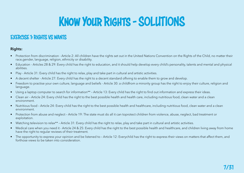## Know Your Rights - SOLUTIONS

### EXERCISE 1: RIGHTS VS WANTS

#### Rights:

- Protection from discrimination Article 2: All children have the rights set out in the United Nations Convention on the Rights of the Child, no matter their race,gender, language, religion, ethnicity or disability.
- Education Articles 28 & 29: Every child has the right to education, and it should help develop every child's personality, talents and mental and physical abilities.
- Play Article 31: Every child has the right to relax, play and take part in cultural and artistic activities.
- A decent shelter Article 27: Every child has the right to a decent standard ofliving to enable them to grow and develop.
- Freedom to practise your own culture, language and beliefs Article 30: a childfrom a minority group has the right to enjoy their culture, religion and language.
- Using a laptop computer to search for information\*\* Article 13: Every child has the right to find out information and express their ideas.
- Clean air Article 24: Every child has the right to the best possible health and health care, including nutritious food, clean water and a clean environment.
- Nutritious food Article 24: Every child has the right to the best possible health and healthcare, including nutritious food, clean water and a clean environment.
- Protection from abuse and neglect Article 19: The state must do all it can toprotect children from violence, abuse, neglect, bad treatment or exploitation.
- Watching television to relax\*\* Article 31: Every child has the right to relax, play and take part in cultural and artistic activities.
- Medical care when you need it Article 24 & 25: Every child has the right to the best possible health and healthcare, and children living away from home have the right to regular reviews of their treatment.
- The opportunity to express your opinion and be listened to Article 12: Everychild has the right to express their views on matters that affect them, and forthose views to be taken into consideration.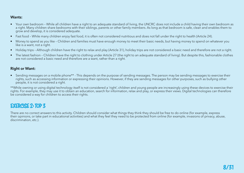#### Wants:

- Your own bedroom While all children have a right to an adequate standard of living, the UNCRC does not include a child having their own bedroom as a right. Many children share bedrooms with their siblings, parents or other family members. As long as that bedroom is safe, clean and enables them to grow and develop, it is considered adequate.
- Fast food While many children enjoy fast food, it is often not considered nutritious and does not fall under the right to health (Article 24).
- Money to spend as you like Children and families must have enough money to meet their basic needs, but having money to spend on whatever you like is a want, not a right.
- Holiday trips Although children have the right to relax and play (Article 31), holiday trips are not considered a basic need and therefore are not a right.
- The latest fashion Children have the right to clothing under Article 27 (the right to an adequate standard of living). But despite this, fashionable clothes are not considered a basic need and therefore are a want, rather than a right.

#### Right or Want:

• Sending messages on a mobile phone\*\* - This depends on the purpose of sending messages. The person may be sending messages to exercise their rights, such as accessing information or expressing their opinions. However, if they are sending messages for other purposes, such as bullying other people, it is not considered a right.

\*\*While owning or using digital technology itself is not considered a 'right', children and young people are increasingly using these devices to exercise their rights. For example, they may use it to obtain an education, search for information, relax and play, or express their views. Digital technologies can therefore be considered a way for children to access their rights.

## EXERCISE 2: TOP 3

There are no correct answers to this activity. Children should consider what things they think they should be free to do online (for example, express their opinions, or take part in educational activities) and what they feel they need to be protected from online (for example, invasions of privacy, abuse, discrimination, etc.).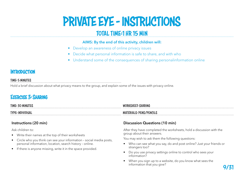## PRIVATE EYE - INSTRUCTIONS

## TOTAL TIME:1 HR 15 MIN

#### AIMS: By the end of this activity, children will:

- Develop an awareness of online privacy issues
- Decide what personal information is safe to share, and with who
- Understand some of the consequences of sharing personalinformation online

### **INTRODUCTION**

#### TIME: 5 MINUTES

Hold a brief discussion about what privacy means to the group, and explain some of the issues with privacy online.

## Exercise 3: Sharing

| TIME: 30 MINUT.  | SHARING<br><b>WODVCUL</b>           |
|------------------|-------------------------------------|
| TYPE: INDIVIDUAL | · PENS/PENCILS<br><b>MATERIALS:</b> |

#### Instructions (20 min)

Ask children to:

- Write their names at the top of their worksheets
- Circle who you think can see your information social media posts, personal information, location, search history – online.
- If there is anyone missing, write it in the space provided.

#### Discussion Questions (10 min)

After they have completed the worksheets, hold a discussion with the group about their answers.

- Who can see what you say, do and post online? Just your friends or strangers too?
- Do you use privacy settings online to control who sees your information?
- When you sign up to a website, do you know what sees the information that you give?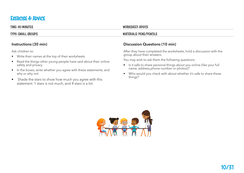## Exercise 4: Advice

TIME: 40 MINUTES

TYPE: SMALL GROUPS

#### Instructions (30 min)

Ask children to:

- Write their names at the top of their worksheets
- Read the things other young people have said about their online safety and privacy
- In the boxes, write whether you agree with these statements, and why or why not
- Shade the stars to show how much you agree with this statement. 1 stars is not much, and 4 stars is a lot.

#### WORKSHEET: ADVICE

#### MATERIALS: PENS/PENCILS

#### Discussion Questions (10 min)

After they have completed the worksheets, hold a discussion with the group about their answers.

- Is it safe to share personal things about you online (like your full name, address,phone number or photos)?
- Who would you check with about whether it's safe to share these things?

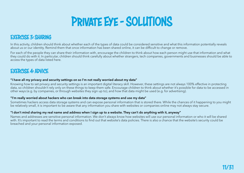## Private Eye - SOLUTIONS

## EXERCISE 3: SHARING

In this activity, children should think about whether each of the types of data could be considered sensitive and what this information potentially reveals about us or our identity. Remind them that once information has been shared online, it can be difficult to change or remove.

For each of the people they can share their information with, encourage the children to think about how each person might use that information and what they could do with it. In particular, children should think carefully about whether strangers, tech companies, governments and businesses should be able to access the types of data listed here.

## EXERCISE 4: ADVICE

#### "I have all my privacy and security settings on so I'm not really worried about my data"

Knowing how to set privacy and security settings is an important digital literacy skill. However, these settings are not always 100% effective in protecting data, so children shouldn't rely only on these things to keep them safe. Encourage children to think about whether it's possible for data to be accessed in other ways (e.g. by companies, or through websites they sign up to), and how that data might be used (e.g. for advertising).

#### "I'm really worried about hackers who can break into data storage systems and use my data"

Sometimes hackers access data storage systems and can expose personal information that is stored there. While the chances of it happening to you might be relatively small, it is important to be aware that any information you share with websites or companies online may not always stay secure.

#### "I don't mind sharing my real name and address when I sign up to a website. They can't do anything with it, anyway"

Names and addresses are sensitive personal information. We don't always know how websites will use our personal information or who it will be shared with. It's important to read the terms and conditions to find out that website's data policies. There is also a chance that the website's security could be breached and your personal information exposed.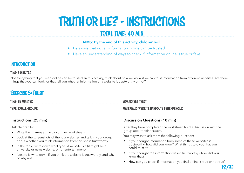## TRUTH OR LIE? - INSTRUCTIONS

## TOTAL TIME: 40 MIN

#### AIMS: By the end of this activity, children will:

- Be aware that not all information online can be trusted
- Have an understanding of ways to check if information online is true or fake

### **INTRODUCTION**

#### TIME: 5 MINUTES

Not everything that you read online can be trusted. In this activity, think about how we know if we can trust information from different websites. Are there things that you can look for that tell you whether information or a website is trustworthy or not?

## Exercise 5: Trust

| TIME: 35 MINUTES   | <b>WORKSHEET:</b><br><b>: TRUS1</b>             |
|--------------------|-------------------------------------------------|
| TYPE: SMALL GROUPS | <b>VATERIALS: WEBSITE HANDOUTS PENS/PENCILS</b> |
|                    |                                                 |

#### Instructions (25 min)

Ask children to:

- Write their names at the top of their worksheets
- Look at the screenshots of the four websites and talk in your group about whether you think information from this site is trustworthy
- In the table, write down what type of website is it (it might be a university or news website, or for entertainment)
- Next to it, write down if you think the website is trustworthy, and why or why not

#### Discussion Questions (10 min)

After they have completed the worksheet, hold a discussion with the group about their answers.

- If you thought information from some of these websites is trustworthy, how did you know? What things told you that you could trust it?
- If you thought the information wasn't trustworthy how did you know that?
- How can you check if information you find online is true or not true?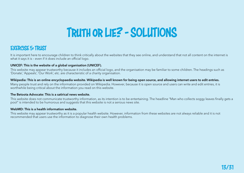## Truth or Lie? - SOLUTIONS

### EXERCISE 5: TRUST

It is important here to encourage children to think critically about the websites that they see online, and understand that not all content on the internet is what it says it is – even if it does include an official logo.

#### UNICEF: This is the website of a global organisation (UNICEF).

This website may appear trustworthy because it includes an official logo, and the organisation may be familiar to some children. The headings such as 'Donate', 'Appeals', 'Our Work', etc. are characteristic of a charity organisation.

#### Wikipedia: This is an online encyclopaedia website. Wikipedia is well known for being open source, and allowing internet users to edit entries.

Many people trust and rely on the information provided on Wikipedia. However, because it is open source and users can write and edit entries, it is worthwhile being critical about the information you read on this website.

#### The Betoota Advocate: This is a satirical news website.

This website does not communicate trustworthy information, as its intention is to be entertaining. The headline "Man who collects soggy leaves finally gets a pool" is intended to be humorous and suggests that this website is not a serious news site.

#### WebMD: This is a health information website.

This website may appear trustworthy as it is a popular health website. However, information from these websites are not always reliable and it is not recommended that users use the information to diagnose their own health problems.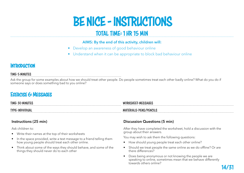## BE NICE - INSTRUCTIONS

## TOTAL TIME: 1 HR 15 MIN

#### AIMS: By the end of this activity, children will:

- Develop an awareness of good behaviour online
- Understand when it can be appropriate to block bad behaviour online

### **INTRODUCTION**

#### TIME: 5 MINUTES

Ask the group for some examples about how we should treat other people. Do people sometimes treat each other badly online? What do you do if someone says or does something bad to you online?

### Exercise 6: Messages

| TIME: 30 MINUTES | <b>SAGES</b>                  |
|------------------|-------------------------------|
|                  |                               |
| TYPE: INDIVIDUAL | "/PENCILS<br>MATERIALS: PENS/ |

#### Instructions (25 min)

Ask children to:

- Write their names at the top of their worksheets
- In the space provided, write a text message to a friend telling them how young people should treat each other online.
- Think about some of the ways they should behave, and some of the things they should never do to each other

#### Discussion Questions (5 min)

After they have completed the worksheet, hold a discussion with the group about their answers.

- How should young people treat each other online?
- Should we treat people the same online as we do offline? Or are there differences?
- Does being anonymous or not knowing the people we are speaking to online, sometimes mean that we behave differently towards others online?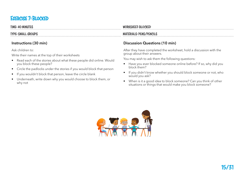## Exercise 7: Blocked

TIME: 40 MINUTES

TYPE: SMALL GROUPS

#### Instructions (30 min)

Ask children to:

Write their names at the top of their worksheets

- Read each of the stories about what these people did online. Would you block these people?
- Circle the padlocks under the stories if you would block that person
- If you wouldn't block that person, leave the circle blank
- Underneath, write down why you would choose to block them, or why not

#### WORKSHEET: BLOCKED

#### MATERIALS: PENS/PENCILS

#### Discussion Questions (10 min)

After they have completed the worksheet, hold a discussion with the group about their answers.

- Have you ever blocked someone online before? If so, why did you block them?
- If you didn't know whether you should block someone or not, who would you ask?
- When is it a good idea to block someone? Can you think of other situations or things that would make you block someone?

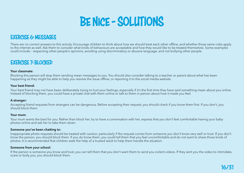

## EXERCISE 6: MESSAGES

There are no correct answers to this activity. Encourage children to think about how we should treat each other offline, and whether those same rules apply to the internet as well. Ask them to consider what kinds of behaviours are acceptable and how they would like to be treated themselves. Some examples could include – respecting other people's opinions, avoiding using discriminatory or abusive language, and not bullying other people.

### EXERCISE 7: BLOCKED

#### Your classmate:

Blocking this person will stop them sending mean messages to you. You should also consider talking to a teacher or parent about what has been happening as they might be able to help you resolve the issue offline, or reporting it to the social media website.

#### Your best friend:

Your best friend may not have been deliberately trying to hurt your feelings, especially if it's the first time they have said something mean about you online. Instead of blocking them, you could have a private chat with them online or talk to them in person about how it made you feel.

#### A stranger:

Accepting friend requests from strangers can be dangerous. Before accepting their request, you should check if you know them first. If you don't, you should block them.

#### Your mum:

Your mum wants the best for you. Rather than block her, try to have a conversation with her, express that you don't feel comfortable having your baby photos online and ask her to take them down.

#### Someone you've been chatting to:

Inappropriate photo requests should be treated with caution, particularly if the request comes from someone you don't know very well or trust. If you don't know the person, you should block them. If you do know them, you could tell them that you feel uncomfortable and do not want to share those kinds of photos. It is recommended that children seek the help of a trusted adult to help them handle the situation.

#### Someone from your school:

If the person is someone you know and trust, you can tell them that you don't want them to send you violent videos. If they sent you the video to intimidate, scare or bully you, you should block them.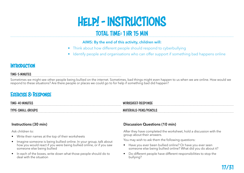## Help! - INSTRUCTIONS

## TOTAL TIME: 1 HR 15 MIN

#### AIMS: By the end of this activity, children will:

- Think about how different people should respond to cyberbullying
- Identify people and organisations who can offer support if something bad happens online

### **INTRODUCTION**

#### TIME: 5 MINUTES

Sometimes we might see other people being bullied on the internet. Sometimes, bad things might even happen to us when we are online. How would we respond to these situations? Are there people or places we could go to for help if something bad did happen?

### Exercise 8: Response

| TIME: 40 MINUTES   | <b>WORKSHEET: RESPONSE</b>     |
|--------------------|--------------------------------|
| TYPE: SMALL GROUPS | <b>MATERIALS: PENS/PENCILS</b> |
|                    |                                |

#### Instructions (30 min)

Ask children to:

- Write their names at the top of their worksheets
- Imagine someone is being bullied online. In your group, talk about how you would react if you were being bullied online, or if you saw someone else being bullied
- In each of the boxes, write down what those people should do to deal with the situation

#### Discussion Questions (10 min)

After they have completed the worksheet, hold a discussion with the group about their answers.

- Have you ever been bullied online? Or have you ever seen someone else being bullied online? What did you do about it?
- Do different people have different responsibilities to stop the bullying?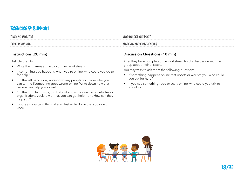### Exercise 9: Support

| TIME: 30 MINUTES | WORKSHEET: SUPPORT             |
|------------------|--------------------------------|
| TYPE: INDIVIDUAL | <b>MATERIALS: PENS/PENCILS</b> |

#### Instructions (20 min)

Ask children to:

- Write their names at the top of their worksheets
- If something bad happens when you're online, who could you go to for help?
- On the left hand side, write down any people you know who you can turn to ifsomething goes wrong online. Write down how that person can help you as well.
- On the right hand side, think about and write down any websites or organisations youknow of that you can get help from. How can they help you?
- It's okay if you can't think of any! Just write down that you don't know.

#### Discussion Questions (10 min)

After they have completed the worksheet, hold a discussion with the group about their answers.

- If something happens online that upsets or worries you, who could you ask for help?
- If you see something rude or scary online, who could you talk to about it?

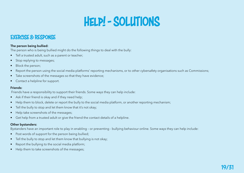## Help! - SOLUTIONS

## EXERCISE 8: RESPONSE

#### The person being bullied:

The person who is being bullied might do the following things to deal with the bully:

- Tell a trusted adult, such as a parent or teacher;
- Stop replying to messages;
- Block the person;
- Report the person using the social media platforms' reporting mechanisms, or to other cybersafety organisations such as Commissions;
- Take screenshots of the messages so that they have evidence;
- Contact a helpline for support.

#### Friends:

Friends have a responsibility to support their friends. Some ways they can help include:

- Ask if their friend is okay and if they need help;
- Help them to block, delete or report the bully to the social media platform, or another reporting mechanism;
- Tell the bully to stop and let them know that it's not okay;
- Help take screenshots of the messages;
- Get help from a trusted adult or give the friend the contact details of a helpline.

#### Other bystanders:

Bystanders have an important role to play in enabling – or preventing - bullying behaviour online. Some ways they can help include:

- Post words of support for the person being bullied;
- Tell the bully to stop and let them know that bullying is not okay;
- Report the bullying to the social media platform;
- Help them to take screenshots of the messages;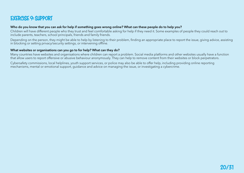## EXERCISE 9: SUPPORT

#### Who do you know that you can ask for help if something goes wrong online? What can these people do to help you?

Children will have different people who they trust and feel comfortable asking for help if they need it. Some examples of people they could reach out to include parents, teachers, school principals, friends and family friends.

Depending on the person, they might be able to help by listening to their problem, finding an appropriate place to report the issue, giving advice, assisting in blocking or setting privacy/security settings, or intervening offline.

#### What websites or organisations can you go to for help? What can they do?

Many countries have websites and organisations where children can report a problem. Social media platforms and other websites usually have a function that allow users to report offensive or abusive behaviour anonymously. They can help to remove content from their websites or block perpetrators.

Cybersafety commissions, local helplines, youth support services, or police may also be able to offer help, including providing online reporting mechanisms, mental or emotional support, guidance and advice on managing the issue, or investigating a cybercrime.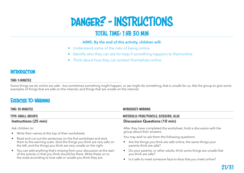## danger? - INSTRUCTIONS

## TOTAL TIME: 1 HR 30 MIN

#### AIMS: By the end of this activity, children will:

- Understand some of the risks of being online
- Identify who they can ask for help if something happens to themonline
- Think about how they can protect themselves online

### **INTRODUCTION**

#### TIME: 5 MINUTES

Some things we do online are safe – but sometimes something might happen, or we might do something, that is unsafe for us. Ask the group to give some examples of things that are safe on the internet, and things that are unsafe on the internet.

## Exercise 10: Warning

the scale according to how safe or unsafe you think they are.

| TIME: 35 MINUTES<br>TYPE: SMALL GROUPS |                                                                                                                                                                                                                 | WORKSHEET: WARNING<br>MATERIALS: PENS/PENCILS, SCISSORS, GLUE |                                                                                                                                                  |
|----------------------------------------|-----------------------------------------------------------------------------------------------------------------------------------------------------------------------------------------------------------------|---------------------------------------------------------------|--------------------------------------------------------------------------------------------------------------------------------------------------|
|                                        |                                                                                                                                                                                                                 |                                                               |                                                                                                                                                  |
|                                        | Ask children to:<br>• Write their names at the top of their worksheets                                                                                                                                          |                                                               | After they have completed the worksheet, hold a discussion with the<br>group about their answers.                                                |
|                                        | • Read and cut-out the sentences on the first worksheet and stick<br>them to the warning scale. Stick the things you think are very safe on<br>the left, and the things you think are very unsafe on the right. |                                                               | You may wish to ask them the following questions:<br>• Are the things you think are safe online, the same things your<br>parents think are safe? |
|                                        | • You can add anything that's missing from your discussion at the start<br>of the activity or that you think should be there. Write these on to                                                                 |                                                               | Do your parents, or other adults, think some things are unsafe that<br>you think are safe?                                                       |

• Is it safe to meet someone face-to-face that you meet online?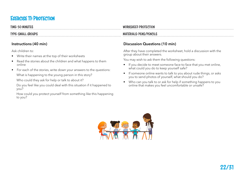## Exercise 11: Protection

TIME: 50 MINUTES

TYPE: SMALL GROUPS

#### Instructions (40 min)

Ask children to:

- Write their names at the top of their worksheets
- Read the stories about the children and what happens to them online
- For each of the stories, write down your answers to the questions: What is happening to the young person in this story?

Who could they ask for help or talk to about it?

- Do you feel like you could deal with this situation if it happened to you?
- How could you protect yourself from something like this happening to you?

#### WORKSHEET: PROTECTION

#### MATERIALS: PENS/PENCILS

#### Discussion Questions (10 min)

After they have completed the worksheet, hold a discussion with the group about their answers.

- If you decide to meet someone face-to-face that you met online, what could you do to keep yourself safe?
- If someone online wants to talk to you about rude things, or asks you to send photos of yourself, what should you do?
- Who can you talk to or ask for help if something happens to you online that makes you feel uncomfortable or unsafe?

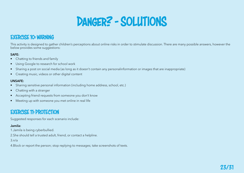

### EXERCISE 10: WARNING

This activity is designed to gather children's perceptions about online risks in order to stimulate discussion. There are many possible answers, however the below provides some suggestions:

#### SAFE:

- Chatting to friends and family
- Using Google to research for school work
- Sharing a post on social media (as long as it doesn't contain any personalinformation or images that are inappropriate)
- Creating music, videos or other digital content

#### UNSAFE:

- Sharing sensitive personal information (including home address, school, etc.)
- Chatting with a stranger
- Accepting friend requests from someone you don't know
- Meeting up with someone you met online in real life

## EXERCISE 11: PROTECTION

Suggested responses for each scenario include:

#### Jamila:

1.Jamila is being cyberbullied.

2.She should tell a trusted adult, friend, or contact a helpline.

#### 3.n/a

4.Block or report the person; stop replying to messages; take screenshots of texts.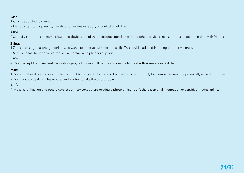#### Gino:

1.Gino is addicted to games.

2.He could talk to his parents, friends, another trusted adult, or contact a helpline.

 $3 \frac{\pi}{4}$ 

4.Set daily time limits on game play; keep devices out of the bedroom; spend time doing other activities such as sports or spending time with friends.

#### Zahra:

1.Zahra is talking to a stranger online who wants to meet up with her in real life. This could lead to kidnapping or other violence.

2.She could talk to her parents, friends, or contact a helpline for support.

3.n/a

4. Don't accept friend requests from strangers; talk to an adult before you decide to meet with someone in real life.

#### Max:

1. Max's mother shared a photo of him without his consent which could be used by others to bully him, embarrassment or potentially impact his future.

2. Max should speak with his mother and ask her to take the photos down.

3. n/a

4. Make sure that you and others have sought consent before posting a photo online; don't share personal information or sensitive images online.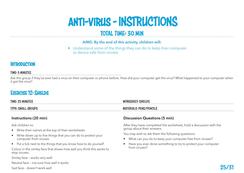## anti-virus - INSTRUCTIONS

## TOTAL TIME: 30 MIN

#### AIMS: By the end of this activity, children will:

• Understand some of the things they can do to keep their computer or device safe from viruses

### **INTRODUCTION**

#### TIME: 5 MINUTES

Ask the group if they've ever had a virus on their computer or phone before. How did your computer get the virus? What happened to your computer when it got the virus?

## Exercise 12: Shields

| TIME: 25 MINUTES   | WORKSHEET: SHIELDS                                         |
|--------------------|------------------------------------------------------------|
|                    |                                                            |
| TYPE: SMALL GROUPS | <b>MATERIALS: PENS/PENCILS</b>                             |
|                    |                                                            |
| .                  | $\overline{\phantom{a}}$<br>$\sim$<br>_ _<br>$\sim$ $\sim$ |

#### Instructions (20 min)

Ask children to:

- Write their names at the top of their worksheets
- Write down up to five things that you can do to protect your computer from viruses
- Put a tick next to the things that you know how to do yourself

Colour in the smiley face that shows how well you think this works to stop viruses:

Smiley face – works very well

Neutral face – not sure how well it works

#### Sad face – doesn't work well

#### Discussion Questions (5 min)

After they have completed the worksheet, hold a discussion with the group about their answers.

- What can you do to keep your computer free from viruses?
- Have you ever done something to try to protect your computer from viruses?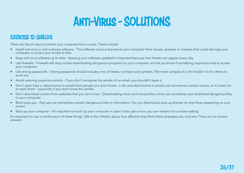## Anti-Virus - SOLUTIONS

## EXERCISE 12: SHIELDS

There are lots of ways to protect your computer from viruses. These include:

- Install anti-virus or anti-malware software This software scans and protects your computer from viruses, spyware or malware that could damage your computer or access your emails or files.
- Keep anti-virus software up to date Keeping your software updated is important because new threats can appear every day.
- Use firewalls Firewalls will stop viruses downloading dangerous programs to your computer, and let you know if something suspicious tries to access your computer.
- Use strong passwords Strong passwords should include a mix of letters, numbers and symbols. The more complex it is, the harder it is for others to work out.
- Avoid opening suspicious emails If you don't recognise the sender of an email, you shouldn't open it.
- Don't open links or attachments in emails from people you don't know Links and attachments in emails can sometimes contain viruses, so it's best not to open them - especially if you don't know the sender.
- Don't download content from websites that you don't trust Downloading music and movies files online can sometimes also download dangerous files to your computer.
- Block pop-ups Pop-ups can sometimes contain dangerous links or information. You can download a pop-up blocker to stop these appearing on your screen.
- Back up your computer It's important to back up your computer in case it does get a virus, you can restore it to a recent setting.

It's important to use a combination of these things. Talk to the children about how effective they think these strategies are, and why. There are no correct answers.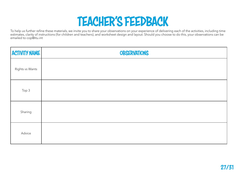## TEACHER'S FEEDBACK

To help us further refine these materials, we invite you to share your observations on your experience of delivering each of the activities, including time estimates, clarity of instructions (for children and teachers), and worksheet design and layout. Should you choose to do this, your observations can be emailed to cop@itu.int

| <b>ACTIVITY NAME</b> | <b>OBSERVATIONS</b> |
|----------------------|---------------------|
| Rights vs Wants      |                     |
| Top 3                |                     |
| Sharing              |                     |
| Advice               |                     |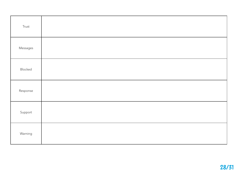| Trust    |  |
|----------|--|
| Messages |  |
| Blocked  |  |
| Response |  |
| Support  |  |
| Warning  |  |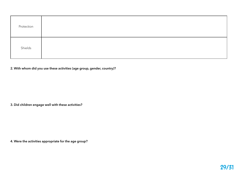| Protection |  |
|------------|--|
| Shields    |  |

2. With whom did you use these activities (age group, gender, country)?

3. Did children engage well with these activities?

4. Were the activities appropriate for the age group?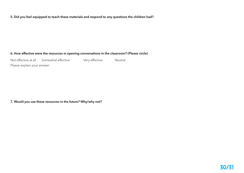5. Did you feel equipped to teach these materials and respond to any questions the children had?

#### 6. How effective were the resources in opening conversations in the classroom? (Please circle)

Not effective at all Somewhat effective Very effective Neutral Please explain your answer:

7. Would you use these resources in the future? Why/why not?